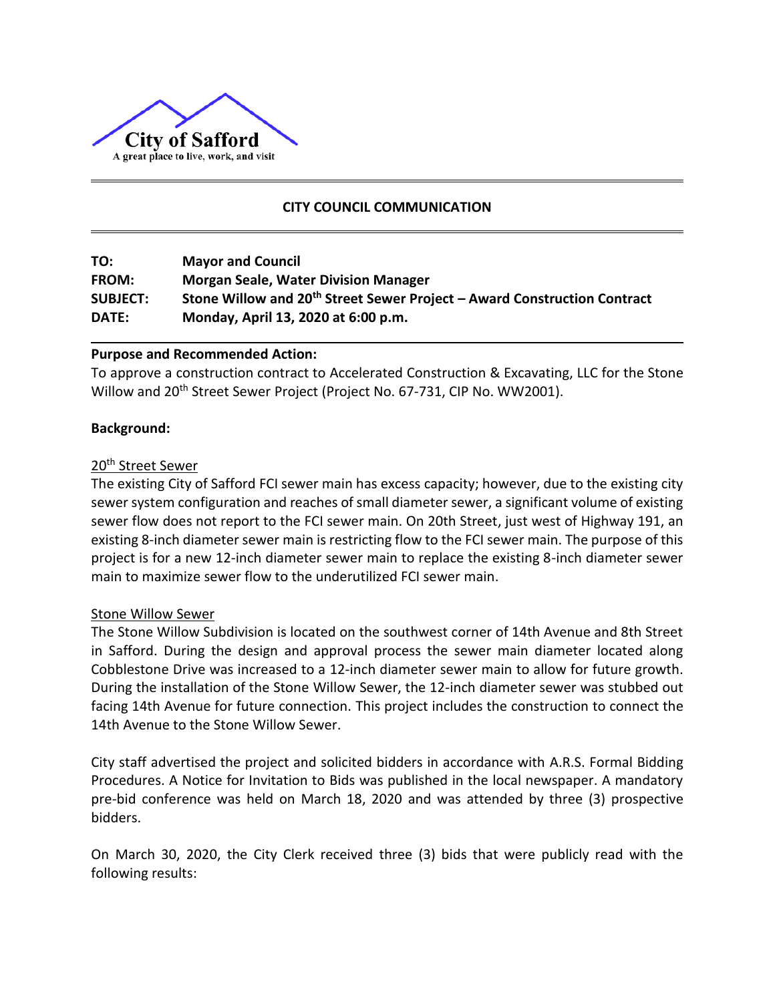

# **CITY COUNCIL COMMUNICATION**

| TO:             | <b>Mayor and Council</b>                                                             |
|-----------------|--------------------------------------------------------------------------------------|
| <b>FROM:</b>    | <b>Morgan Seale, Water Division Manager</b>                                          |
| <b>SUBJECT:</b> | Stone Willow and 20 <sup>th</sup> Street Sewer Project - Award Construction Contract |
| DATE:           | Monday, April 13, 2020 at 6:00 p.m.                                                  |

## **Purpose and Recommended Action:**

To approve a construction contract to Accelerated Construction & Excavating, LLC for the Stone Willow and 20<sup>th</sup> Street Sewer Project (Project No. 67-731, CIP No. WW2001).

### **Background:**

## 20th Street Sewer

The existing City of Safford FCI sewer main has excess capacity; however, due to the existing city sewer system configuration and reaches of small diameter sewer, a significant volume of existing sewer flow does not report to the FCI sewer main. On 20th Street, just west of Highway 191, an existing 8-inch diameter sewer main is restricting flow to the FCI sewer main. The purpose of this project is for a new 12-inch diameter sewer main to replace the existing 8-inch diameter sewer main to maximize sewer flow to the underutilized FCI sewer main.

#### Stone Willow Sewer

The Stone Willow Subdivision is located on the southwest corner of 14th Avenue and 8th Street in Safford. During the design and approval process the sewer main diameter located along Cobblestone Drive was increased to a 12-inch diameter sewer main to allow for future growth. During the installation of the Stone Willow Sewer, the 12-inch diameter sewer was stubbed out facing 14th Avenue for future connection. This project includes the construction to connect the 14th Avenue to the Stone Willow Sewer.

City staff advertised the project and solicited bidders in accordance with A.R.S. Formal Bidding Procedures. A Notice for Invitation to Bids was published in the local newspaper. A mandatory pre-bid conference was held on March 18, 2020 and was attended by three (3) prospective bidders.

On March 30, 2020, the City Clerk received three (3) bids that were publicly read with the following results: